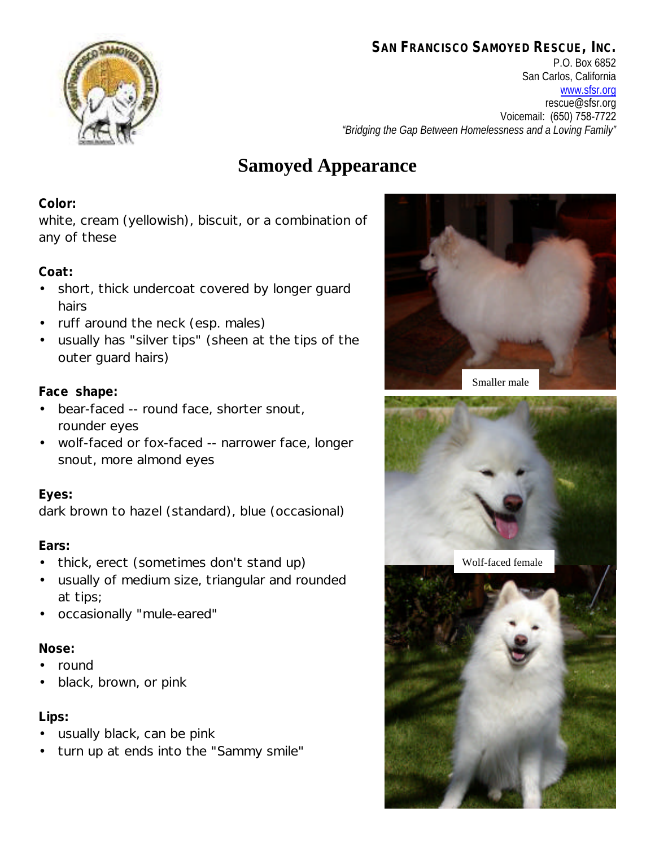### **SAN FRANCISCO SAMOYED RESCUE, INC.**



P.O. Box 6852 San Carlos, California www.sfsr.org rescue@sfsr.org Voicemail: (650) 758-7722 *"Bridging the Gap Between Homelessness and a Loving Family"*

# **Samoyed Appearance**

#### **Color:**

white, cream (yellowish), biscuit, or a combination of any of these

#### **Coat:**

- short, thick undercoat covered by longer guard hairs
- ruff around the neck (esp. males)
- usually has "silver tips" (sheen at the tips of the outer guard hairs)

#### **Face shape:**

- bear-faced -- round face, shorter snout, rounder eyes
- wolf-faced or fox-faced -- narrower face, longer snout, more almond eyes

#### **Eyes:**

dark brown to hazel (standard), blue (occasional)

#### **Ears:**

- thick, erect (sometimes don't stand up)
- usually of medium size, triangular and rounded at tips;
- occasionally "mule-eared"

#### **Nose:**

- round
- black, brown, or pink

#### **Lips:**

- usually black, can be pink
- turn up at ends into the "Sammy smile"